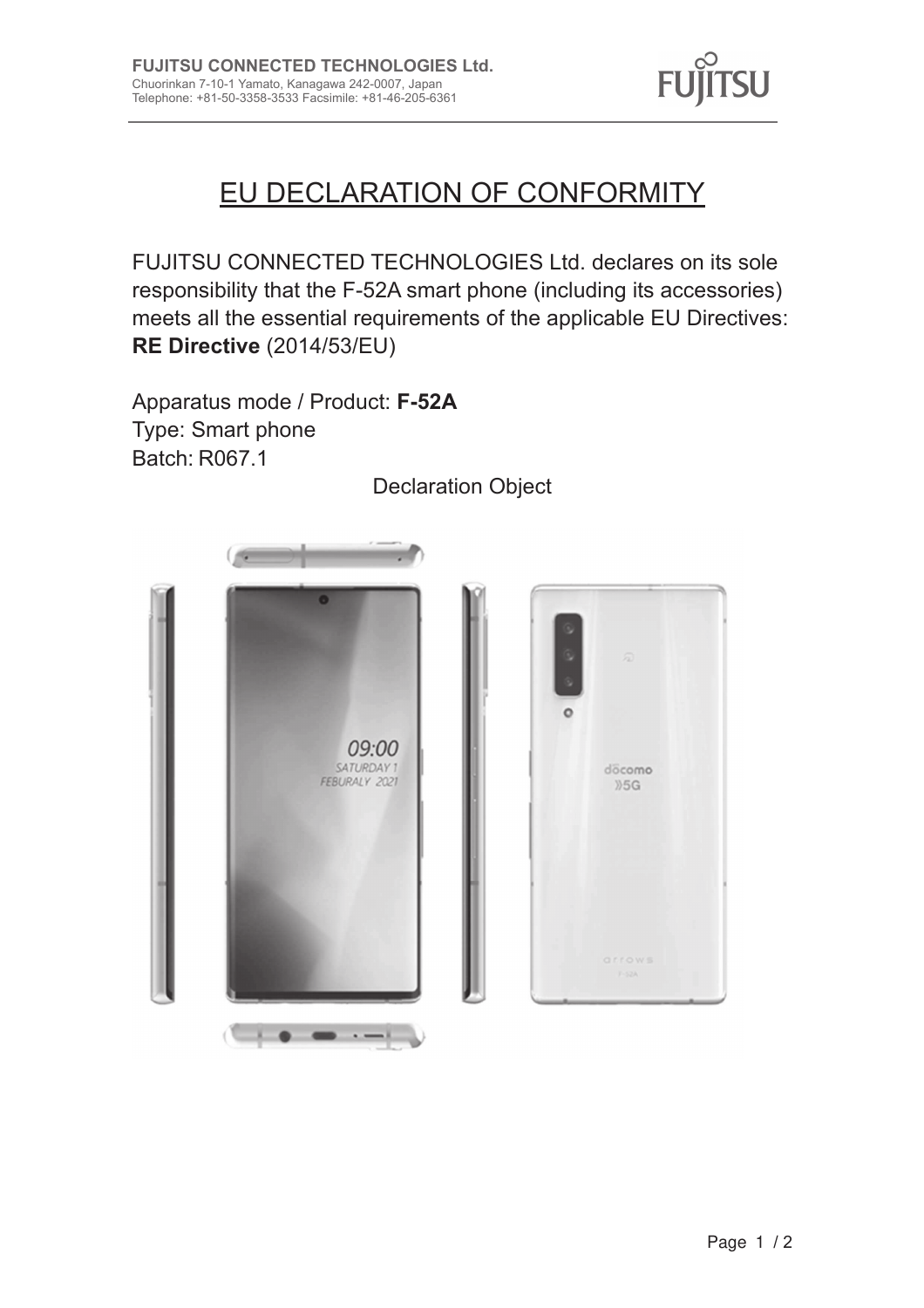

# EU DECLARATION OF CONFORMITY

FUJITSU CONNECTED TECHNOLOGIES Ltd. declares on its sole responsibility that the F-52A smart phone (including its accessories) meets all the essential requirements of the applicable EU Directives: RE Directive (2014/53/EU)

Apparatus mode / Product: F-52A Type: Smart phone Batch: R067.1

09:00 SATURDAY 1 FEBURALY 2021 

**Declaration Object**